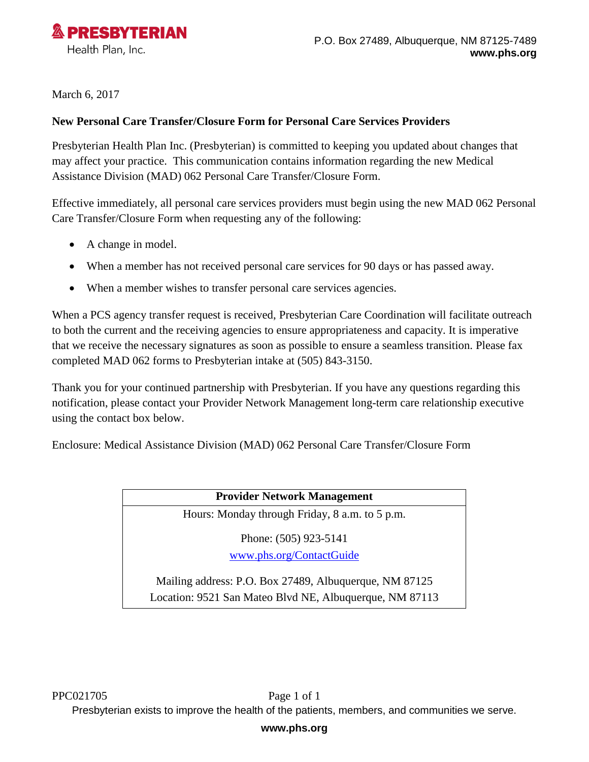

March 6, 2017

## **New Personal Care Transfer/Closure Form for Personal Care Services Providers**

Presbyterian Health Plan Inc. (Presbyterian) is committed to keeping you updated about changes that may affect your practice. This communication contains information regarding the new Medical Assistance Division (MAD) 062 Personal Care Transfer/Closure Form.

Effective immediately, all personal care services providers must begin using the new MAD 062 Personal Care Transfer/Closure Form when requesting any of the following:

- A change in model.
- When a member has not received personal care services for 90 days or has passed away.
- When a member wishes to transfer personal care services agencies.

When a PCS agency transfer request is received, Presbyterian Care Coordination will facilitate outreach to both the current and the receiving agencies to ensure appropriateness and capacity. It is imperative that we receive the necessary signatures as soon as possible to ensure a seamless transition. Please fax completed MAD 062 forms to Presbyterian intake at (505) 843-3150.

Thank you for your continued partnership with Presbyterian. If you have any questions regarding this notification, please contact your Provider Network Management long-term care relationship executive using the contact box below.

Enclosure: Medical Assistance Division (MAD) 062 Personal Care Transfer/Closure Form

## **Provider Network Management**

Hours: Monday through Friday, 8 a.m. to 5 p.m.

Phone: (505) 923-5141 [www.phs.org/ContactGuide](http://www.phs.org/ContactGuide)

Mailing address: P.O. Box 27489, Albuquerque, NM 87125 Location: 9521 San Mateo Blvd NE, Albuquerque, NM 87113